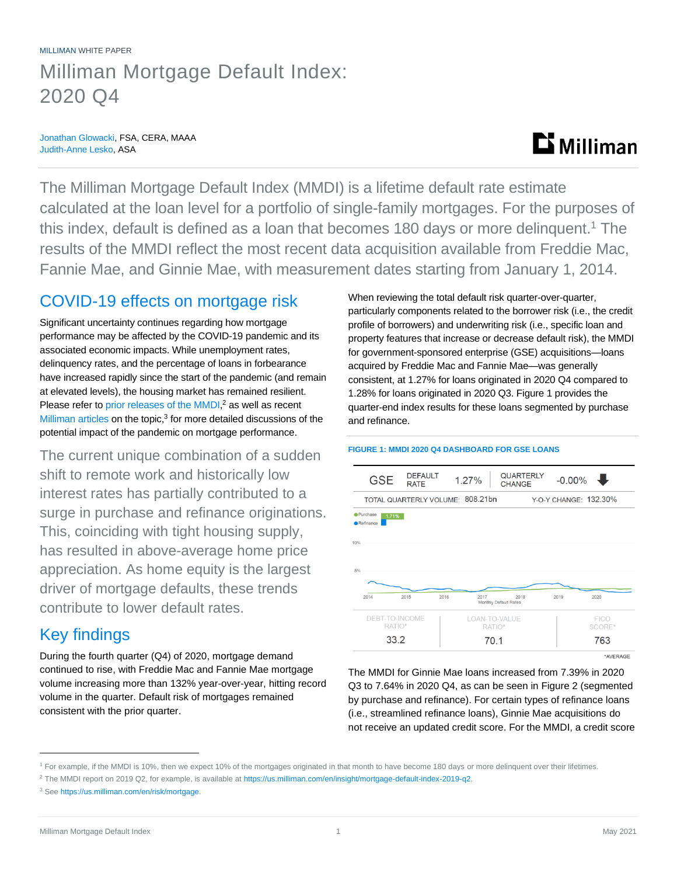## MILLIMAN WHITE PAPER Milliman Mortgage Default Index: 2020 Q4

### Jonathan Glowacki, FSA, CERA, MAAA Judith-Anne Lesko, ASA

# $\mathbf{D}$  Milliman

The Milliman Mortgage Default Index (MMDI) is a lifetime default rate estimate calculated at the loan level for a portfolio of single-family mortgages. For the purposes of this index, default is defined as a loan that becomes 180 days or more delinguent.<sup>1</sup> The results of the MMDI reflect the most recent data acquisition available from Freddie Mac, Fannie Mae, and Ginnie Mae, with measurement dates starting from January 1, 2014.

### COVID-19 effects on mortgage risk

Significant uncertainty continues regarding how mortgage performance may be affected by the COVID-19 pandemic and its associated economic impacts. While unemployment rates, delinquency rates, and the percentage of loans in forbearance have increased rapidly since the start of the pandemic (and remain at elevated levels), the housing market has remained resilient. Please refer t[o prior releases of the MMDI,](https://us.milliman.com/en/insight/mortgage-default-index-2019-q2)<sup>2</sup> as well as recent [Milliman articles](https://us.milliman.com/en/risk/mortgage) on the topic, $3$  for more detailed discussions of the potential impact of the pandemic on mortgage performance.

The current unique combination of a sudden shift to remote work and historically low interest rates has partially contributed to a surge in purchase and refinance originations. This, coinciding with tight housing supply, has resulted in above-average home price appreciation. As home equity is the largest driver of mortgage defaults, these trends contribute to lower default rates.

### Key findings

During the fourth quarter (Q4) of 2020, mortgage demand continued to rise, with Freddie Mac and Fannie Mae mortgage volume increasing more than 132% year-over-year, hitting record volume in the quarter. Default risk of mortgages remained consistent with the prior quarter.

When reviewing the total default risk quarter-over-quarter, particularly components related to the borrower risk (i.e., the credit profile of borrowers) and underwriting risk (i.e., specific loan and property features that increase or decrease default risk), the MMDI for government-sponsored enterprise (GSE) acquisitions—loans acquired by Freddie Mac and Fannie Mae—was generally consistent, at 1.27% for loans originated in 2020 Q4 compared to 1.28% for loans originated in 2020 Q3. Figure 1 provides the quarter-end index results for these loans segmented by purchase and refinance.



**FIGURE 1: MMDI 2020 Q4 DASHBOARD FOR GSE LOANS**

\*AVERAGE

The MMDI for Ginnie Mae loans increased from 7.39% in 2020 Q3 to 7.64% in 2020 Q4, as can be seen in Figure 2 (segmented by purchase and refinance). For certain types of refinance loans (i.e., streamlined refinance loans), Ginnie Mae acquisitions do not receive an updated credit score. For the MMDI, a credit score

<sup>1</sup> For example, if the MMDI is 10%, then we expect 10% of the mortgages originated in that month to have become 180 days or more delinquent over their lifetimes.

<sup>&</sup>lt;sup>2</sup> The MMDI report on 2019 Q2, for example, is available a[t https://us.milliman.com/en/insight/mortgage-default-index-2019-q2.](https://us.milliman.com/en/insight/mortgage-default-index-2019-q2)

<sup>3</sup> See [https://us.milliman.com/en/risk/mortgage.](https://us.milliman.com/en/risk/mortgage)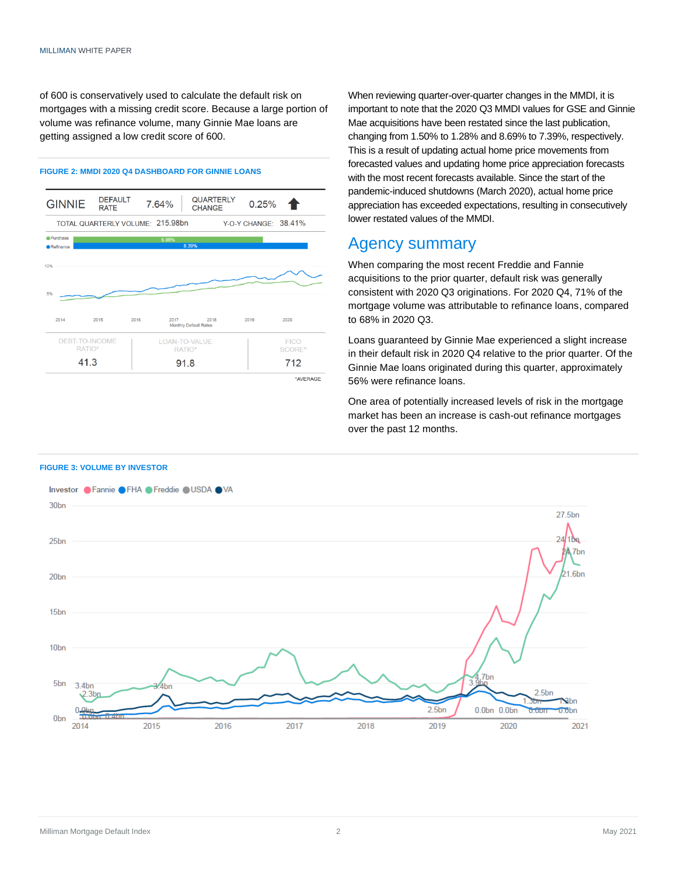of 600 is conservatively used to calculate the default risk on mortgages with a missing credit score. Because a large portion of volume was refinance volume, many Ginnie Mae loans are getting assigned a low credit score of 600.

#### **FIGURE 2: MMDI 2020 Q4 DASHBOARD FOR GINNIE LOANS**



When reviewing quarter-over-quarter changes in the MMDI, it is important to note that the 2020 Q3 MMDI values for GSE and Ginnie Mae acquisitions have been restated since the last publication, changing from 1.50% to 1.28% and 8.69% to 7.39%, respectively. This is a result of updating actual home price movements from forecasted values and updating home price appreciation forecasts with the most recent forecasts available. Since the start of the pandemic-induced shutdowns (March 2020), actual home price appreciation has exceeded expectations, resulting in consecutively lower restated values of the MMDI.

### Agency summary

When comparing the most recent Freddie and Fannie acquisitions to the prior quarter, default risk was generally consistent with 2020 Q3 originations. For 2020 Q4, 71% of the mortgage volume was attributable to refinance loans, compared to 68% in 2020 Q3.

Loans guaranteed by Ginnie Mae experienced a slight increase in their default risk in 2020 Q4 relative to the prior quarter. Of the Ginnie Mae loans originated during this quarter, approximately 56% were refinance loans.

One area of potentially increased levels of risk in the mortgage market has been an increase is cash-out refinance mortgages over the past 12 months.



### **FIGURE 3: VOLUME BY INVESTOR**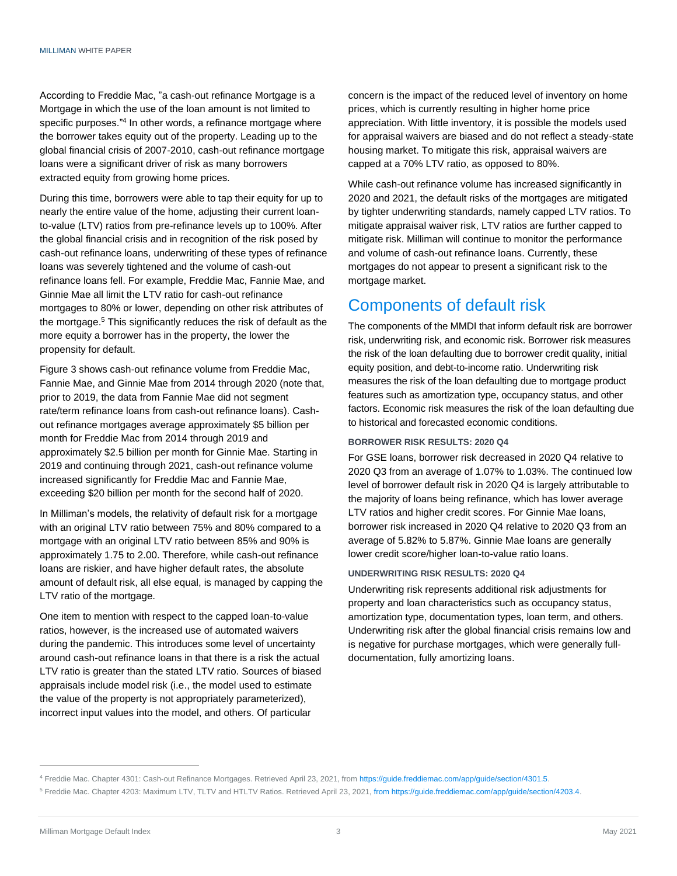According to Freddie Mac, "a cash-out refinance Mortgage is a Mortgage in which the use of the loan amount is not limited to specific purposes."<sup>4</sup> In other words, a refinance mortgage where the borrower takes equity out of the property. Leading up to the global financial crisis of 2007-2010, cash-out refinance mortgage loans were a significant driver of risk as many borrowers extracted equity from growing home prices.

During this time, borrowers were able to tap their equity for up to nearly the entire value of the home, adjusting their current loanto-value (LTV) ratios from pre-refinance levels up to 100%. After the global financial crisis and in recognition of the risk posed by cash-out refinance loans, underwriting of these types of refinance loans was severely tightened and the volume of cash-out refinance loans fell. For example, Freddie Mac, Fannie Mae, and Ginnie Mae all limit the LTV ratio for cash-out refinance mortgages to 80% or lower, depending on other risk attributes of the mortgage. <sup>5</sup> This significantly reduces the risk of default as the more equity a borrower has in the property, the lower the propensity for default.

Figure 3 shows cash-out refinance volume from Freddie Mac, Fannie Mae, and Ginnie Mae from 2014 through 2020 (note that, prior to 2019, the data from Fannie Mae did not segment rate/term refinance loans from cash-out refinance loans). Cashout refinance mortgages average approximately \$5 billion per month for Freddie Mac from 2014 through 2019 and approximately \$2.5 billion per month for Ginnie Mae. Starting in 2019 and continuing through 2021, cash-out refinance volume increased significantly for Freddie Mac and Fannie Mae, exceeding \$20 billion per month for the second half of 2020.

In Milliman's models, the relativity of default risk for a mortgage with an original LTV ratio between 75% and 80% compared to a mortgage with an original LTV ratio between 85% and 90% is approximately 1.75 to 2.00. Therefore, while cash-out refinance loans are riskier, and have higher default rates, the absolute amount of default risk, all else equal, is managed by capping the LTV ratio of the mortgage.

One item to mention with respect to the capped loan-to-value ratios, however, is the increased use of automated waivers during the pandemic. This introduces some level of uncertainty around cash-out refinance loans in that there is a risk the actual LTV ratio is greater than the stated LTV ratio. Sources of biased appraisals include model risk (i.e., the model used to estimate the value of the property is not appropriately parameterized), incorrect input values into the model, and others. Of particular

concern is the impact of the reduced level of inventory on home prices, which is currently resulting in higher home price appreciation. With little inventory, it is possible the models used for appraisal waivers are biased and do not reflect a steady-state housing market. To mitigate this risk, appraisal waivers are capped at a 70% LTV ratio, as opposed to 80%.

While cash-out refinance volume has increased significantly in 2020 and 2021, the default risks of the mortgages are mitigated by tighter underwriting standards, namely capped LTV ratios. To mitigate appraisal waiver risk, LTV ratios are further capped to mitigate risk. Milliman will continue to monitor the performance and volume of cash-out refinance loans. Currently, these mortgages do not appear to present a significant risk to the mortgage market.

### Components of default risk

The components of the MMDI that inform default risk are borrower risk, underwriting risk, and economic risk. Borrower risk measures the risk of the loan defaulting due to borrower credit quality, initial equity position, and debt-to-income ratio. Underwriting risk measures the risk of the loan defaulting due to mortgage product features such as amortization type, occupancy status, and other factors. Economic risk measures the risk of the loan defaulting due to historical and forecasted economic conditions.

#### **BORROWER RISK RESULTS: 2020 Q4**

For GSE loans, borrower risk decreased in 2020 Q4 relative to 2020 Q3 from an average of 1.07% to 1.03%. The continued low level of borrower default risk in 2020 Q4 is largely attributable to the majority of loans being refinance, which has lower average LTV ratios and higher credit scores. For Ginnie Mae loans, borrower risk increased in 2020 Q4 relative to 2020 Q3 from an average of 5.82% to 5.87%. Ginnie Mae loans are generally lower credit score/higher loan-to-value ratio loans.

### **UNDERWRITING RISK RESULTS: 2020 Q4**

Underwriting risk represents additional risk adjustments for property and loan characteristics such as occupancy status, amortization type, documentation types, loan term, and others. Underwriting risk after the global financial crisis remains low and is negative for purchase mortgages, which were generally fulldocumentation, fully amortizing loans.

<sup>4</sup> Freddie Mac. Chapter 4301: Cash-out Refinance Mortgages. Retrieved April 23, 2021, fro[m https://guide.freddiemac.com/app/guide/section/4301.5.](https://guide.freddiemac.com/app/guide/section/4301.5)

<sup>5</sup> Freddie Mac. Chapter 4203: Maximum LTV, TLTV and HTLTV Ratios. Retrieved April 23, 2021[, from https://guide.freddiemac.com/app/guide/section/4203.4.](file://///marcomm-fs01.milliman.com/Projects/2876-PCP/2021/2.%202020%20Q4/from%20https:/guide.freddiemac.com/app/guide/section/4203.4)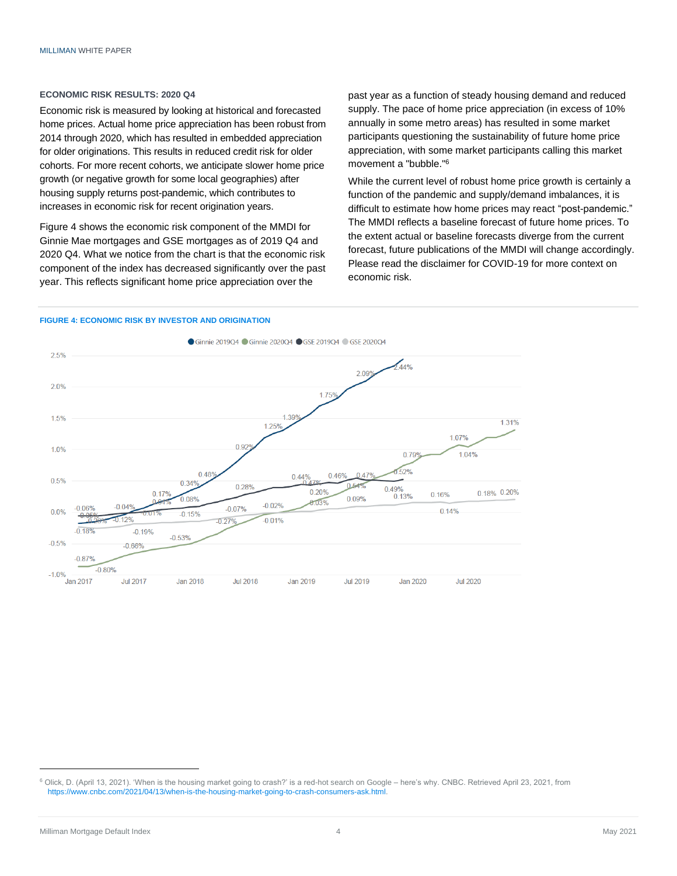#### **ECONOMIC RISK RESULTS: 2020 Q4**

Economic risk is measured by looking at historical and forecasted home prices. Actual home price appreciation has been robust from 2014 through 2020, which has resulted in embedded appreciation for older originations. This results in reduced credit risk for older cohorts. For more recent cohorts, we anticipate slower home price growth (or negative growth for some local geographies) after housing supply returns post-pandemic, which contributes to increases in economic risk for recent origination years.

Figure 4 shows the economic risk component of the MMDI for Ginnie Mae mortgages and GSE mortgages as of 2019 Q4 and 2020 Q4. What we notice from the chart is that the economic risk component of the index has decreased significantly over the past year. This reflects significant home price appreciation over the

past year as a function of steady housing demand and reduced supply. The pace of home price appreciation (in excess of 10% annually in some metro areas) has resulted in some market participants questioning the sustainability of future home price appreciation, with some market participants calling this market movement a "bubble." 6

While the current level of robust home price growth is certainly a function of the pandemic and supply/demand imbalances, it is difficult to estimate how home prices may react "post-pandemic." The MMDI reflects a baseline forecast of future home prices. To the extent actual or baseline forecasts diverge from the current forecast, future publications of the MMDI will change accordingly. Please read the disclaimer for COVID-19 for more context on economic risk.

#### **FIGURE 4: ECONOMIC RISK BY INVESTOR AND ORIGINATION**



<sup>&</sup>lt;sup>6</sup> Olick, D. (April 13, 2021). 'When is the housing market going to crash?' is a red-hot search on Google – here's why. CNBC. Retrieved April 23, 2021, from [https://www.cnbc.com/2021/04/13/when-is-the-housing-market-going-to-crash-consumers-ask.html.](https://www.cnbc.com/2021/04/13/when-is-the-housing-market-going-to-crash-consumers-ask.html)